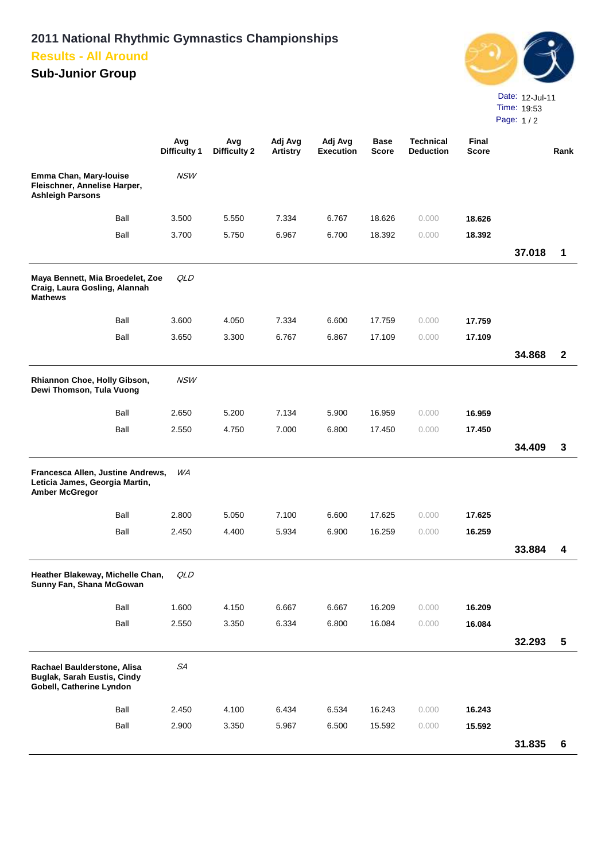## **2011 National Rhythmic Gymnastics Championships Results - All Around**

## **Sub-Junior Group**



**Avg Difficulty 1 Avg Difficulty 2 Adj Avg Artistry Adj Avg Execution Base Score Technical Deduction Final Score ore Rank Emma Chan, Mary-louise Fleischner, Annelise Harper, Ashleigh Parsons** NSW Ball 3.500 5.550 7.334 6.767 18.626 0.000 **18.626** Ball 3.700 5.750 6.967 6.700 18.392 0.000 **18.392 37.018 1 Maya Bennett, Mia Broedelet, Zoe Craig, Laura Gosling, Alannah Mathews** QLD Ball 3.600 4.050 7.334 6.600 17.759 0.000 **17.759** Ball 3.650 3.300 6.767 6.867 17.109 0.000 **17.109 34.868 2 Rhiannon Choe, Holly Gibson, Dewi Thomson, Tula Vuong** NSW Ball 2.650 5.200 7.134 5.900 16.959 0.000 **16.959** Ball 2.550 4.750 7.000 6.800 17.450 0.000 **17.450 34.409 3 Francesca Allen, Justine Andrews, Leticia James, Georgia Martin, Amber McGregor** WA Ball 2.800 5.050 7.100 6.600 17.625 0.000 **17.625** Ball 2.450 4.400 5.934 6.900 16.259 0.000 **16.259 33.884 4 Heather Blakeway, Michelle Chan, Sunny Fan, Shana McGowan** QLD Ball 1.600 4.150 6.667 6.667 16.209 0.000 **16.209** Ball 2.550 3.350 6.334 6.800 16.084 0.000 **16.084 32.293 5 Rachael Baulderstone, Alisa Buglak, Sarah Eustis, Cindy Gobell, Catherine Lyndon** SA Ball 2.450 4.100 6.434 6.534 16.243 0.000 **16.243** Ball 2.900 3.350 5.967 6.500 15.592 0.000 **15.592 31.835 6**